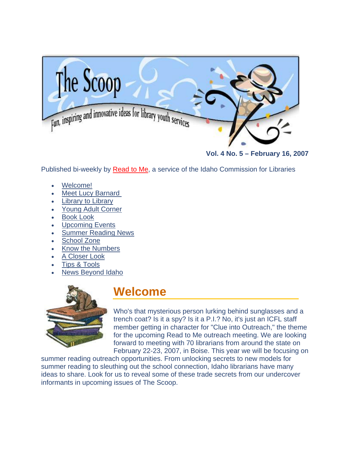<span id="page-0-0"></span>

**[Vol. 4 No. 5 – February 16, 20](http://libraries.idaho.gov/the-scoop)07** 

Published bi-weekly by [Read to Me](http://libraries.idaho.gov/readtome), a service of the Idaho Commission for Libraries

- [Welcome!](#page-0-0)
- **Meet Lucy Barnard**
- **[Library to Library](#page-2-0)**
- [Young Adult Corner](#page-4-0)
- **[Book Look](#page-4-0)**
- [Upcoming Events](#page-6-0)
- [Summer Reading News](#page-7-0)
- [School Zone](#page-7-0)
- [Know the Numbers](#page-9-0)
- **[A Closer Look](#page-10-0)**
- [Tips & Tools](#page-11-0)
- News Beyond Idaho



### **Welcome**

Who's that mysterious person lurking behind sunglasses and a trench coat? Is it a spy? Is it a P.I.? No, it's just an ICFL staff member getting in character for "Clue into Outreach," the theme for the upcoming Read to Me outreach meeting. We are looking forward to meeting with 70 librarians from around the state on February 22-23, 2007, in Boise. This year we will be focusing o n

summer reading outreach opportunities. From unlocking secrets to new models for summer reading to sleuthing out the school connection, Idaho librarians have many ideas to share. Look for us to reveal some of these trade secrets from our undercover informants in upcoming issues of The Scoop.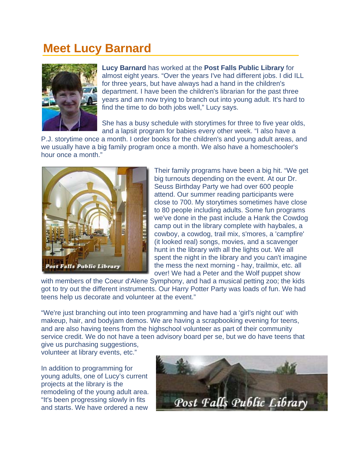### <span id="page-1-0"></span>**Meet Lucy Barnard**



**Lucy Barnard** has worked at the **Post Falls Public Library** for almost eight years. "Over the years I've had different jobs. I did ILL for three years, but have always had a hand in the children's department. I have been the children's librarian for the past three years and am now trying to branch out into young adult. It's hard to find the time to do both jobs well," Lucy says.

She has a busy schedule with storytimes for three to five year olds, and a lapsit program for babies every other week. "I also have a

P.J. storytime once a month. I order books for the children's and young adult areas, and we usually have a big family program once a month. We also have a homeschooler's hour once a month."



Their family programs have been a big hit. "We get we've done in the past include a Hank the Cowdog camp out in the library complete with haybales, a big turnouts depending on the event. At our Dr. Seuss Birthday Party we had over 600 people attend. Our summer reading participants were close to 700. My storytimes sometimes have close to 80 people including adults. Some fun programs cowboy, a cowdog, trail mix, s'mores, a 'campfire' (it looked real) songs, movies, and a scavenger hunt in the library with all the lights out. We all spent the night in the library and you can't imagine the mess the next morning - hay, trailmix, etc. all over! We had a Peter and the Wolf puppet show

with members of the Coeur d'Alene Symphony, and had a musical petting zoo; the kids got to try out the different instruments. Our Harry Potter Party was loads of fun. We had teens help us decorate and volunteer at the event."

"We're just branching out into teen programming and have had a 'girl's night out' with makeup, hair, and bodyjam demos. We are having a scrapbooking evening for teens, and are also having teens from the highschool volunteer as part of their community service credit. We do not have a teen advisory board per se, but we do have teens that give us purchasing suggestions,

volunteer at library events, etc."

In addition to programming for young adults, one of Lucy's current projects at the library is the remodeling of the young adult area. "It's been progressing slowly in fits and starts. We have ordered a new

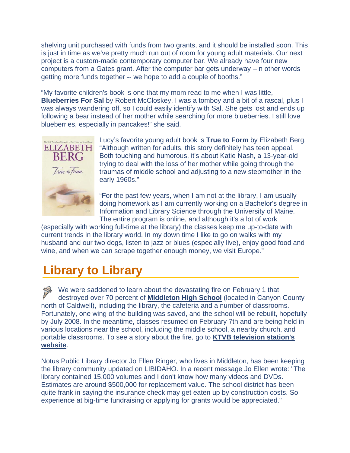<span id="page-2-0"></span>shelving unit purchased with funds from two grants, and it should be installed soon. This is just in time as we've pretty much run out of room for young adult materials. Our next project is a custom-made contemporary computer bar. We already have four new computers from a Gates grant. After the computer bar gets underway --in other words getting more funds together -- we hope to add a couple of booths."

"My favorite children's book is one that my mom read to me when I was little, **Blueberries For Sal** by Robert McCloskey. I was a tomboy and a bit of a rascal, plus I was always wandering off, so I could easily identify with Sal. She gets lost and ends up following a bear instead of her mother while searching for more blueberries. I still love blueberries, especially in pancakes!" she said.



Lucy's favorite young adult book is **True to Form** by Elizabeth Berg. "Although written for adults, this story definitely has teen appeal. Both touching and humorous, it's about Katie Nash, a 13-year-old trying to deal with the loss of her mother while going through the traumas of middle school and adjusting to a new stepmother in the early 1960s."

"For the past few years, when I am not at the library, I am usually doing homework as I am currently working on a Bachelor's degree in Information and Library Science through the University of Maine. The entire program is online, and although it's a lot of work

(especially with working full-time at the library) the classes keep me up-to-date with current trends in the library world. In my down time I like to go on walks with my husband and our two dogs, listen to jazz or blues (especially live), enjoy good food and wine, and when we can scrape together enough money, we visit Europe."

# **Library to Library**

We were saddened to learn about the devastating fire on February 1 that destroyed over 70 percent of **[Middleton High School](https://mhs.msd134.org/)** (located in Canyon County north of Caldwell), including the library, the cafeteria and a number of classrooms. Fortunately, one wing of the building was saved, and the school will be rebuilt, hopefully by July 2008. In the meantime, classes resumed on February 7th and are being held in various locations near the school, including the middle school, a nearby church, and portable classrooms. To see a story about the fire, go to **[KTVB television station's](http://www.ktvb.com/news/localnews/stories/ktvbn-feb0107-middleton.3e5648f1.html)  [website](http://www.ktvb.com/news/localnews/stories/ktvbn-feb0107-middleton.3e5648f1.html)**.

Notus Public Library director Jo Ellen Ringer, who lives in Middleton, has been keeping the library community updated on LIBIDAHO. In a recent message Jo Ellen wrote: "The library contained 15,000 volumes and I don't know how many videos and DVDs. Estimates are around \$500,000 for replacement value. The school district has been quite frank in saying the insurance check may get eaten up by construction costs. So experience at big-time fundraising or applying for grants would be appreciated."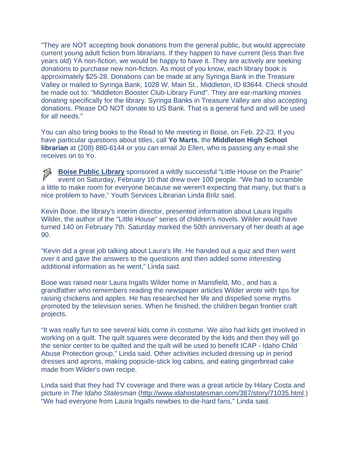"They are NOT accepting book donations from the general public, but would appreciate current young adult fiction from librarians. If they happen to have current (less than five years old) YA non-fiction, we would be happy to have it. They are actively are seeking donations to purchase new non-fiction. As most of you know, each library book is approximately \$25-28. Donations can be made at any Syringa Bank in the Treasure Valley or mailed to Syringa Bank, 1028 W. Main St., Middleton, ID 83644. Check should be made out to: "Middleton Booster Club-Library Fund". They are ear-marking monies donating specifically for the library. Syringa Banks in Treasure Valley are also accepting donations. Please DO NOT donate to US Bank. That is a general fund and will be used for all needs."

You can also bring books to the Read to Me meeting in Boise, on Feb. 22-23. If you have particular questions about titles, call **Yo Marts**, the **Middleton High School librarian** at (208) 880-6144 or you can email Jo Ellen, who is passing any e-mail she receives on to Yo.

**[Boise Public Library](http://www.boisepubliclibrary.org/)** sponsored a wildly successful "Little House on the Prairie" event on Saturday, February 10 that drew over 100 people. "We had to scramble a little to make room for everyone because we weren't expecting that many, but that's a nice problem to have," Youth Services Librarian Linda Brilz said.

Kevin Booe, the library's interim director, presented information about Laura Ingalls Wilder, the author of the "Little House" series of children's novels. Wilder would have turned 140 on February 7th. Saturday marked the 50th anniversary of her death at age 90.

"Kevin did a great job talking about Laura's life. He handed out a quiz and then went over it and gave the answers to the questions and then added some interesting additional information as he went," Linda said.

Booe was raised near Laura Ingalls Wilder home in Mansfield, Mo., and has a grandfather who remembers reading the newspaper articles Wilder wrote with tips for raising chickens and apples. He has researched her life and dispelled some myths promoted by the television series. When he finished, the children began frontier craft projects.

"It was really fun to see several kids come in costume. We also had kids get involved in working on a quilt. The quilt squares were decorated by the kids and then they will go the senior center to be quilted and the quilt will be used to benefit ICAP - Idaho Child Abuse Protection group," Linda said. Other activities included dressing up in period dresses and aprons, making popsicle-stick log cabins, and eating gingerbread cake made from Wilder's own recipe.

Linda said that they had TV coverage and there was a great article by Hilary Costa and picture in *The Idaho Statesman* [\(http://www.idahostatesman.com/387/story/71035.html](http://www.idahostatesman.com/387/story/71035.html).) "We had everyone from Laura Ingalls newbies to die-hard fans," Linda said.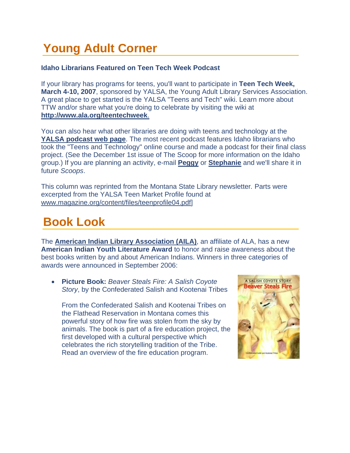# <span id="page-4-0"></span>**Young Adult Corner**

#### **Idaho Librarians Featured on Teen Tech Week Podcast**

If your library has programs for teens, you'll want to participate in **Teen Tech Week, March 4-10, 2007**, sponsored by YALSA, the Young Adult Library Services Association. A great place to get started is the YALSA "Teens and Tech" wiki. Learn more about TTW and/or share what you're doing to celebrate by visiting the wiki at **[http://www.ala.org/teentechweek](http://www.ala.org/teentechweek.)**.

You can also hear what other libraries are doing with teens and technology at the **[YALSA podcast web page](http://www.pod-serve.com/podcasts/show/yalsa-podcasts)**. The most recent podcast features Idaho librarians who took the "Teens and Technology" online course and made a podcast for their final class project. (See the December 1st issue of The Scoop for more information on the Idaho group.) If you are planning an activity, e-mail **[Peggy](mailto:peggy.mcclendon@libraries.idaho.gov)** or **[Stephanie](mailto:stephanie.bailey-white@libraries.idaho.gov)** and we'll share it in future *Scoops*.

This column was reprinted from the Montana State Library newsletter*.* Parts were excerpted from the YALSA Teen Market Profile found at [www.magazine.org/content/files/teenprofile04.pdf](http://www.magazine.org/content/files/teenprofile04.pdf)]

### **Book Look**

The **[American Indian Library Association \(AILA\)](http://aila.library.sd.gov/)**, an affiliate of ALA, has a new **American Indian Youth Literature Award** to honor and raise awareness about the best books written by and about American Indians. Winners in three categories of awards were announced in September 2006:

• **Picture Book:** *Beaver Steals Fire: A Salish Coyote Story*, by the Confederated Salish and Kootenai Tribes

From the Confederated Salish and Kootenai Tribes on the Flathead Reservation in Montana comes this powerful story of how fire was stolen from the sky by animals. The book is part of a fire education project, the first developed with a cultural perspective which celebrates the rich storytelling tradition of the Tribe. Read an overview of the fire education program.

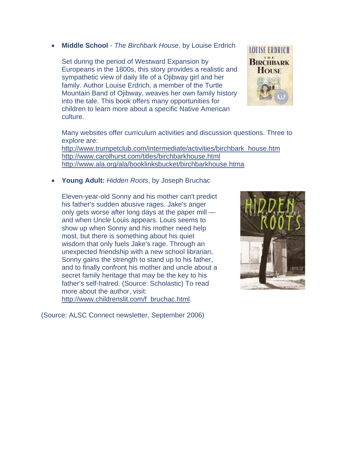#### • **Middle School** - *The Birchbark House*, by Louise Erdrich

Set during the period of Westward Expansion by Europeans in the 1800s, this story provides a realistic and sympathetic view of daily life of a Ojibway girl and her family. Author Louise Erdrich, a member of the Turtle Mountain Band of Ojibway, weaves her own family history into the tale. This book offers many opportunities for children to learn more about a specific Native American culture.



Many websites offer curriculum activities and discussion questions. Three to explore are:

[http://www.trumpetclub.com/intermediate/activities/birchbark\\_house.htm](http://www.trumpetclub.com/intermediate/activities/birchbark_house.htm) <http://www.carolhurst.com/titles/birchbarkhouse.html> <http://www.ala.org/ala/booklinksbucket/birchbarkhouse.htma>

• **Young Adult:** *Hidden Roots*, by Joseph Bruchac

Eleven-year-old Sonny and his mother can't predict his father's sudden abusive rages. Jake's anger only gets worse after long days at the paper mill and when Uncle Louis appears. Louis seems to show up when Sonny and his mother need help most, but there is something about his quiet wisdom that only fuels Jake's rage. Through an unexpected friendship with a new school librarian, Sonny gains the strength to stand up to his father, and to finally confront his mother and uncle about a secret family heritage that may be the key to his father's self-hatred. (Source: Scholastic) To read more about the author, visit:

[http://www.childrenslit.com/f\\_bruchac.html](http://www.childrenslit.com/f_bruchac.html).



(Source: ALSC Connect newsletter, September 2006)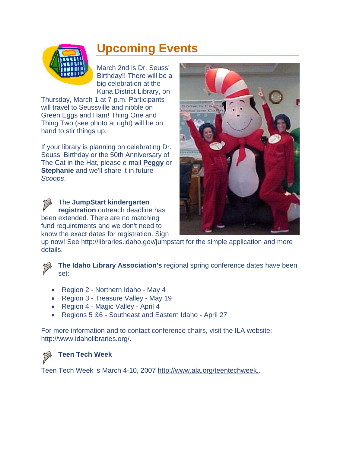<span id="page-6-0"></span>

# **Upcoming Events**

March 2nd is Dr. Seuss' Birthday!! There will be a big celebration at the Kuna District Library, on

Thursday, March 1 at 7 p.m. Participants will travel to Seussville and nibble on Green Eggs and Ham! Thing One and Thing Two (see photo at right) will be on hand to stir things up.

If your library is planning on celebrating Dr. Seuss' Birthday or the 50th Anniversary of The Cat in the Hat, please e-mail **[Peggy](mailto:peggy.mcclendon@libraries.idaho.gov)** or **[Stephanie](mailto:stephanie.bailey-white@libraries.idaho.gov)** and we'll share it in future *Scoops*.

3 The **JumpStart kindergarten registration** outreach deadline has been extended. There are no matching fund requirements and we don't need to know the exact dates for registration. Sign



up now! See<http://libraries.idaho.gov/jumpstart> for the simple application and more details.

**The Idaho Library Association's** regional spring conference dates have been set:

- Region 2 Northern Idaho May 4
- Region 3 Treasure Valley May 19
- Region 4 Magic Valley April 4
- Regions 5 &6 Southeast and Eastern Idaho April 27

http:// www.idaholibraries.org/[.](http://www.idaholibraries.org/)  For more information and to contact conference chairs, visit the ILA website:



### **Teen Tech Week**

Teen Tech Week is March 4-10, 2007 [http://www.ala.org/teentechweek..](http://www.ala.org/teentechweek.)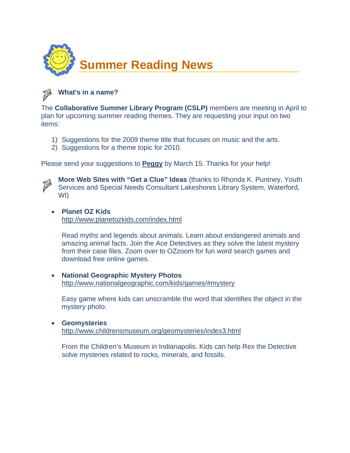<span id="page-7-0"></span>



The **Collaborative Summer Library Program (CSLP)** members are meeting in April to plan for upcoming summer reading themes. They are requesting your input on two items:

- 1) Suggestions for the 2009 theme title that focuses on music and the arts.
- 2) Suggestions for a theme topic for 2010.

Please send your suggestions to **[Peggy](mailto:peggy.mcclendon@libraries.idaho.gov)** by March 15. Thanks for your help!



**More Web Sites with "Get a Clue" Ideas** (thanks to Rhonda K. Puntney, Youth Services and Special Needs Consultant Lakeshores Library System, Waterford, WI)

#### • **Planet OZ Kids**

<http://www.planetozkids.com/index.html>

Read myths and legends about animals. Learn about endangered animals and amazing animal facts. Join the Ace Detectives as they solve the latest mystery from their case files. Zoom over to OZzoom for fun word search games and download free online games.

• **National Geographic Mystery Photos**  <http://www.nationalgeographic.com/kids/games/#mystery>

Easy game where kids can unscramble the word that identifies the object in the mystery photo.

• **Geomysteries**  <http://www.childrensmuseum.org/geomysteries/index3.html>

From the Children's Museum in Indianapolis. Kids can help Rex the Detective solve mysteries related to rocks, minerals, and fossils.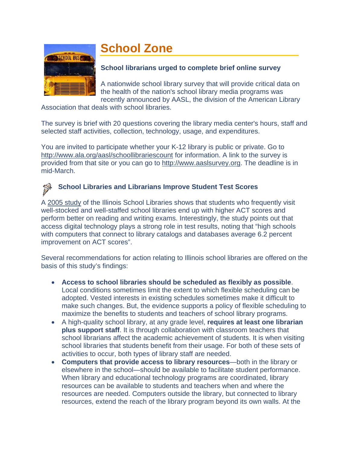# **School Zone**



#### **School librarians urged to complete brief online survey**

A nationwide school library survey that will provide critical data on the health of the nation's school library media programs was recently announced by AASL, the division of the American Library

Association that deals with school libraries.

The survey is brief with 20 questions covering the library media center's hours, staff and selected staff activities, collection, technology, usage, and expenditures.

You are invited to participate whether your K-12 library is public or private. Go to <http://www.ala.org/aasl/schoollibrariescount>for information. A link to the survey is provided from that site or you can go to [http://www.aaslsurvey.org.](http://www.aaslsurvey.org/) The deadline is in mid-March.

### **School Libraries and Librarians Improve Student Test Scores**

A [2005 study](http://www.islma.org/pdf/ILStudy2.pdf) of the Illinois School Libraries shows that students who frequently visit well-stocked and well-staffed school libraries end up with higher ACT scores and perform better on reading and writing exams. Interestingly, the study points out that access digital technology plays a strong role in test results, noting that "high schools with computers that connect to library catalogs and databases average 6.2 percent improvement on ACT scores".

Several recommendations for action relating to Illinois school libraries are offered on the basis of this study's findings:

- **Access to school libraries should be scheduled as flexibly as possible**. Local conditions sometimes limit the extent to which flexible scheduling can be adopted. Vested interests in existing schedules sometimes make it difficult to make such changes. But, the evidence supports a policy of flexible scheduling to maximize the benefits to students and teachers of school library programs.
- A high-quality school library, at any grade level, **requires at least one librarian plus support staff**. It is through collaboration with classroom teachers that school librarians affect the academic achievement of students. It is when visiting school libraries that students benefit from their usage. For both of these sets of activities to occur, both types of library staff are needed.
- **Computers that provide access to library resources**—both in the library or elsewhere in the school—should be available to facilitate student performance. When library and educational technology programs are coordinated, library resources can be available to students and teachers when and where the resources are needed. Computers outside the library, but connected to library resources, extend the reach of the library program beyond its own walls. At the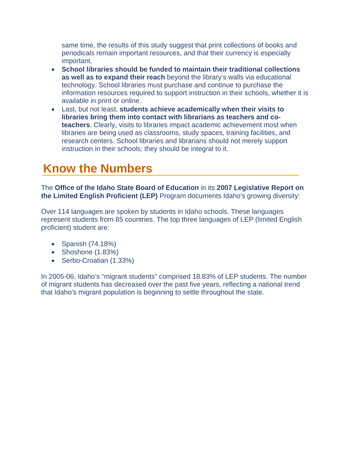<span id="page-9-0"></span>same time, the results of this study suggest that print collections of books and periodicals remain important resources, and that their currency is especially important.

- **School libraries should be funded to maintain their traditional collections as well as to expand their reach** beyond the library's walls via educational technology. School libraries must purchase and continue to purchase the information resources required to support instruction in their schools, whether it is available in print or online.
- Last, but not least, **students achieve academically when their visits to libraries bring them into contact with librarians as teachers and coteachers**. Clearly, visits to libraries impact academic achievement most when libraries are being used as classrooms, study spaces, training facilities, and research centers. School libraries and librarians should not merely support instruction in their schools; they should be integral to it.

# **Know the Numbers**

The **Office of the Idaho State Board of Education** in its **2007 Legislative Report on the Limited English Proficient (LEP)** Program documents Idaho's growing diversity:

Over 114 languages are spoken by students in Idaho schools. These languages represent students from 85 countries. The top three languages of LEP (limited English proficient) student are:

- Spanish (74.18%)
- Shoshone (1.83%)
- Serbo-Croatian (1.33%)

In 2005-06, Idaho's "migrant students" comprised 18.83% of LEP students. The number of migrant students has decreased over the past five years, reflecting a national trend that Idaho's migrant population is beginning to settle throughout the state.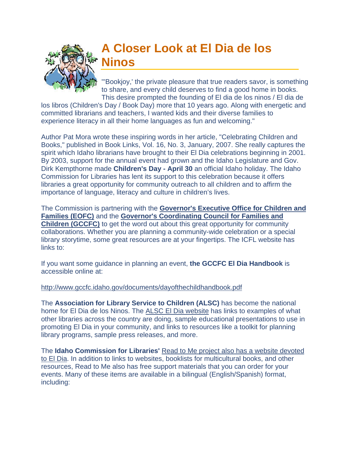<span id="page-10-0"></span>

### **A Closer Look at El Dia de los Ninos**

"'Bookjoy,' the private pleasure that true readers savor, is s omething to share, and every child deserves to find a good home in books. This desire prompted the founding of El dia de los ninos / El dia de

los libros (Children's Day / Book Day) more that 10 years ago. Along with energetic and committed librarians and teachers, I wanted kids and their diverse families to experience literacy in all their home languages as fun and welcoming."

Author Pat Mora wrote these inspiring words in her article, "Celebrating Children and Books," published in Book Links, Vol. 16, No. 3, January, 2007. She really captures the spirit which Idaho librarians have brought to their El Dia celebrations beginning in 2001. By 2003, support for the annual event had grown and the Idaho Legislature and Gov. Dirk Kempthorne made **Children's Day - April 30** an official Idaho holiday. The Idaho Commission for Libraries has lent its support to this celebration because it offers libraries a great opportunity for community outreach to all children and to affirm the importance of language, literacy and culture in children's lives.

The Commission is partnering with the **[Governor's Executive Office for Children and](http://www.healthandwelfare.idaho.gov/default.aspx?alias=eofc)  [Families \(EOFC\)](http://www.healthandwelfare.idaho.gov/default.aspx?alias=eofc)** and the **[Governor's Coordinating Council for Families and](http://www.gccfc.idaho.gov/)  [Children \(GCCFC\)](http://www.gccfc.idaho.gov/)** to get the word out about this great opportunity for community collaborations. Whether you are planning a community-wide celebration or a special library storytime, some great resources are at your fingertips. The ICFL website has links to:

If you want some guidance in planning an event, **the GCCFC El Dia Handbook** is accessible online at:

#### <http://www.gccfc.idaho.gov/documents/dayofthechildhandbook.pdf>

The **Association for Library Service to Children (ALSC)** has become the national home for El Dia de los Ninos. The [ALSC El Dia website](http://www.ala.org/ala/alsc/diadelosninos/diadelosninos.htm) has links to examples of what other libraries across the country are doing, sample educational presentations to use in promoting El Dia in your community, and links to resources like a toolkit for planning library programs, sample press releases, and more.

The **Idaho Commission for Libraries'** [Read to Me project also has a website devoted](http://libraries.idaho.gov/dia-de-los-ninos)  [to El Dia](http://libraries.idaho.gov/dia-de-los-ninos). In addition to links to websites, booklists for multicultural books, and other resources, Read to Me also has free support materials that you can order for your events. Many of these items are available in a bilingual (English/Spanish) format, including: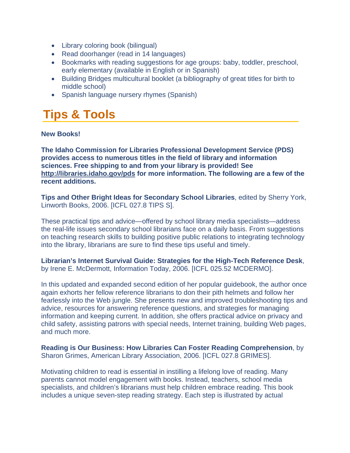- <span id="page-11-0"></span>• Library coloring book (bilingual)
- Read doorhanger (read in 14 languages)
- Bookmarks with reading suggestions for age groups: baby, toddler, preschool, early elementary (available in English or in Spanish)
- Building Bridges multicultural booklet (a bibliography of great titles for birth to middle school)
- Spanish language nursery rhymes (Spanish)

# **Tips & Tools**

#### **New Books!**

**The Idaho Commission for Libraries Professional Development Service (PDS) provides access to numerous titles in the field of library and information sciences. Free shipping to and from your library is provided! See <http://libraries.idaho.gov/pds>for more information. The following are a few of the recent additions.** 

**Tips and Other Bright Ideas for Secondary School Libraries**, edited by Sherry York, Linworth Books, 2006. [ICFL 027.8 TIPS S].

These practical tips and advice—offered by school library media specialists—address the real-life issues secondary school librarians face on a daily basis. From suggestions on teaching research skills to building positive public relations to integrating technology into the library, librarians are sure to find these tips useful and timely.

**Librarian's Internet Survival Guide: Strategies for the High-Tech Reference Desk**, by Irene E. McDermott, Information Today, 2006. [ICFL 025.52 MCDERMO].

In this updated and expanded second edition of her popular guidebook, the author once again exhorts her fellow reference librarians to don their pith helmets and follow her fearlessly into the Web jungle. She presents new and improved troubleshooting tips and advice, resources for answering reference questions, and strategies for managing information and keeping current. In addition, she offers practical advice on privacy and child safety, assisting patrons with special needs, Internet training, building Web pages, and much more.

**Reading is Our Business: How Libraries Can Foster Reading Comprehension**, by Sharon Grimes, American Library Association, 2006. [ICFL 027.8 GRIMES].

Motivating children to read is essential in instilling a lifelong love of reading. Many parents cannot model engagement with books. Instead, teachers, school media specialists, and children's librarians must help children embrace reading. This book includes a unique seven-step reading strategy. Each step is illustrated by actual